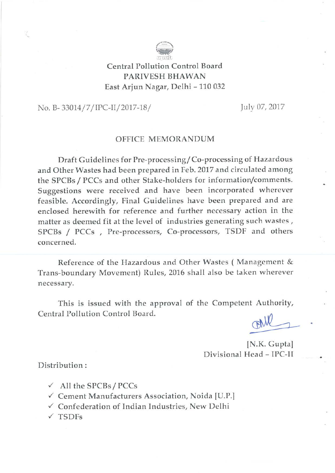

Central Pollution Control Board PARIVESH BHAWAN East Arjun Nagar, Delhi - 110 032

No. B-33014/7/IPC-II/2017-18/

July 07, 2017

# **OFFICE MEMORANDUM**

Draft Guidelines for Pre-processing/Co-processing of Hazardous and Other Wastes had been prepared in Feb. 2017 and circulated among the SPCBs / PCCs and other Stake-holders for information/comments. Suggestions were received and have been incorporated wherever feasible. Accordingly, Final Guidelines have been prepared and are enclosed herewith for reference and further necessary action in the matter as deemed fit at the level of industries generating such wastes, SPCBs / PCCs, Pre-processors, Co-processors, TSDF and others concerned.

Reference of the Hazardous and Other Wastes (Management & Trans-boundary Movement) Rules, 2016 shall also be taken wherever necessary.

This is issued with the approval of the Competent Authority, Central Pollution Control Board.

rall

[N.K. Gupta] Divisional Head - IPC-II

Distribution:

- $\checkmark$  All the SPCBs / PCCs
- √ Cement Manufacturers Association, Noida [U.P.]
- √ Confederation of Indian Industries, New Delhi
- $\times$  TSDFs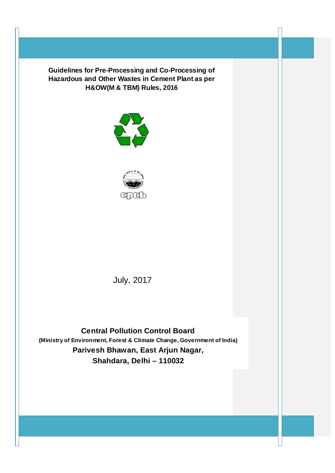



July, 2017

**Central Pollution Control Board (Ministry of Environment, Forest & Climate Change, Government of India) Parivesh Bhawan, East Arjun Nagar, Shahdara, Delhi – 110032**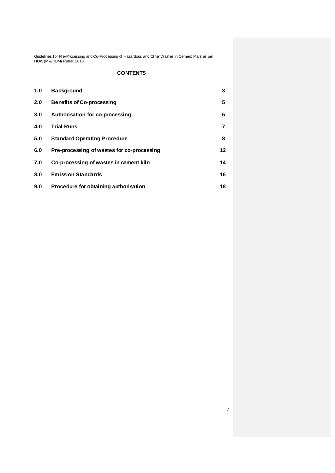# **CONTENTS**

| 1.0 | <b>Background</b>                          | 3       |
|-----|--------------------------------------------|---------|
| 2.0 | <b>Benefits of Co-processing</b>           | 5       |
| 3.0 | Authorisation for co-processing            | 5       |
| 4.0 | <b>Trial Runs</b>                          | 7       |
| 5.0 | <b>Standard Operating Procedure</b>        | 8       |
| 6.0 | Pre-processing of wastes for co-processing | $12 \,$ |
| 7.0 | Co-processing of wastes in cement kiln     | 14      |
| 8.0 | <b>Emission Standards</b>                  | 16      |
| 9.0 | Procedure for obtaining authorisation      | 18      |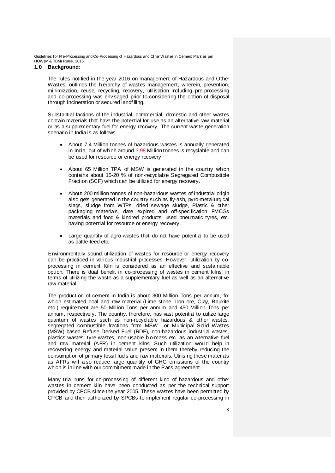# **1.0 Background:**

The rules notified in the year 2016 on management of Hazardous and Other Wastes, outlines the hierarchy of wastes management, wherein, prevention, minimization, reuse, recycling, recovery, utilisation including pre-processing and co-processing was envisaged prior to considering the option of disposal through incineration or secured landfilling.

Substantial factions of the industrial, commercial, domestic and other wastes contain materials that have the potential for use as an alternative raw material or as a supplementary fuel for energy recovery. The current waste generation scenario in India is as follows.

- About 7.4 Million tonnes of hazardous wastes is annually generated in India, out of which around 3.98 Million tonnes is recyclable and can be used for resource or energy recovery.
- About 65 Million TPA of MSW is generated in the country which contains about 15-20 % of non-recyclable Segregated Combustible Fraction (SCF) which can be utilized for energy recovery.
- About 200 million tonnes of non-hazardous wastes of industrial origin also gets generated in the country such as fly-ash, pyro-metallurgical slags, sludge from WTPs, dried sewage sludge, Plastic & other packaging materials, date expired and off-specification FMCGs materials and food & kindred products, used pneumatic tyres, etc. having potential for resource or energy recovery.
- Large quantity of agro-wastes that do not have potential to be used as cattle feed etc.

Environmentally sound utilization of wastes for resource or energy recovery can be practiced in various industrial processes. However, utilization by coprocessing in cement Kiln is considered as an effective and sustainable option. There is dual benefit in co-processing of wastes in cement kilns, in terms of utilizing the waste as a supplementary fuel as well as an alternative raw material

The production of cement in India is about 300 Million Tons per annum, for which estimated coal and raw material (Lime stone, Iron ore, Clay, Bauxite etc.) requirement are 50 Million Tons per annum and 450 Million Tons per annum, respectively. The country, therefore, has vast potential to utilize large quantum of wastes such as non-recyclable hazardous & other wastes, segregated combustible fractions from MSW or Municipal Solid Wastes (MSW) based Refuse Derived Fuel (RDF), non-hazardous industrial wastes, plastics wastes, tyre wastes, non-usable bio-mass etc. as an alternative fuel and raw material (AFR) in cement kilns. Such utilization would help in recovering energy and material value present in them thereby reducing the consumption of primary fossil fuels and raw materials. Utilising these materials as AFRs will also reduce large quantity of GHG emissions of the country which is in line with our commitment made in the Paris agreement.

Many trial runs for co-processing of different kind of hazardous and other wastes in cement kiln have been conducted as per the technical support provided by CPCB since the year 2005. These wastes have been permitted by CPCB and then authorized by SPCBs to implement regular co-processing in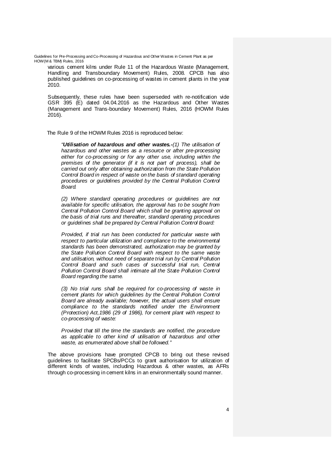various cement kilns under Rule 11 of the Hazardous Waste (Management, Handling and Transboundary Movement) Rules, 2008. CPCB has also published guidelines on co-processing of wastes in cement plants in the year 2010.

Subsequently, these rules have been superseded with re-notification vide GSR 395 (E) dated 04.04.2016 as the Hazardous and Other Wastes (Management and Trans-boundary Movement) Rules, 2016 (HOWM Rules 2016).

The Rule 9 of the HOWM Rules 2016 is reproduced below:

*"Utilisation of hazardous and other wastes.-(1) The utilisation of hazardous and other wastes as a resource or after pre-processing either for co-processing or for any other use, including within the premises of the generator (if it is not part of process), shall be carried out only after obtaining authorization from the State Pollution Control Board in respect of waste on the basis of standard operating procedures or guidelines provided by the Central Pollution Control Board.*

*(2) Where standard operating procedures or guidelines are not available for specific utilisation, the approval has to be sought from Central Pollution Control Board which shall be granting approval on the basis of trial runs and thereafter, standard operating procedures or guidelines shall be prepared by Central Pollution Control Board:*

*Provided, if trial run has been conducted for particular waste with respect to particular utilization and compliance to the environmental standards has been demonstrated, authorization may be granted by the State Pollution Control Board with respect to the same waste and utilisation, without need of separate trial run by Central Pollution Control Board and such cases of successful trial run, Central Pollution Control Board shall intimate all the State Pollution Control Board regarding the same.*

*(3) No trial runs shall be required for co-processing of waste in cement plants for which guidelines by the Central Pollution Control Board are already available; however, the actual users shall ensure compliance to the standards notified under the Environment (Protection) Act,1986 (29 of 1986), for cement plant with respect to co-processing of waste:*

*Provided that till the time the standards are notified, the procedure as applicable to other kind of utilisation of hazardous and other waste, as enumerated above shall be followed."*

The above provisions have prompted CPCB to bring out these revised guidelines to facilitate SPCBs/PCCs to grant authorisation for utilization of different kinds of wastes, including Hazardous & other wastes, as AFRs through co-processing in cement kilns in an environmentally sound manner.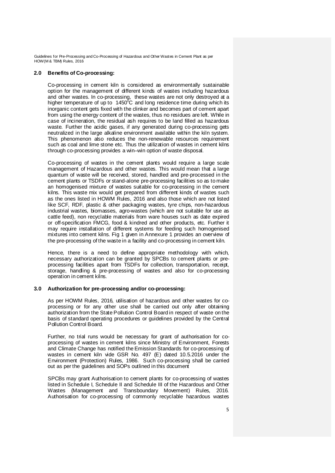# **2.0 Benefits of Co-processing:**

Co-processing in cement kiln is considered as environmentally sustainable option for the management of different kinds of wastes including hazardous and other wastes. In co-processing, these wastes are not only destroyed at a higher temperature of up to  $1450^{\circ}$ C and long residence time during which its inorganic content gets fixed with the clinker and becomes part of cement apart from using the energy content of the wastes, thus no residues are left. While in case of incineration, the residual ash requires to be land filled as hazardous waste. Further the acidic gases, if any generated during co-processing gets neutralized in the large alkaline environment available within the kiln system. This phenomenon also reduces the non-renewable resources requirement such as coal and lime stone etc. Thus the utilization of wastes in cement kilns through co-processing provides a win–win option of waste disposal.

Co-processing of wastes in the cement plants would require a large scale management of Hazardous and other wastes. This would mean that a large quantum of waste will be received, stored, handled and pre-processed in the cement plants or TSDFs or stand-alone pre-processing facilities so as to make an homogenised mixture of wastes suitable for co-processing in the cement kilns. This waste mix would get prepared from different kinds of wastes such as the ones listed in HOWM Rules, 2016 and also those which are not listed like SCF, RDF, plastic & other packaging wastes, tyre chips, non-hazardous industrial wastes, biomasses, agro-wastes (which are not suitable for use as cattle feed), non recyclable materials from ware houses such as date expired or off-specification FMCG, food & kindred and other products, etc. Further it may require installation of different systems for feeding such homogenised mixtures into cement kilns. Fig 1 given in Annexure 1 provides an overview of the pre-processing of the waste in a facility and co-processing in cement kiln.

Hence, there is a need to define appropriate methodology with which, necessary authorization can be granted by SPCBs to cement plants or preprocessing facilities apart from TSDFs for collection, transportation, receipt, storage, handling & pre-processing of wastes and also for co-processing operation in cement kilns.

#### **3.0 Authorization for pre-processing and/or co-processing:**

As per HOWM Rules, 2016, utilisation of hazardous and other wastes for coprocessing or for any other use shall be carried out only after obtaining authorization from the State Pollution Control Board in respect of waste on the basis of standard operating procedures or guidelines provided by the Central Pollution Control Board.

Further, no trial runs would be necessary for grant of authorisation for coprocessing of wastes in cement kilns since Ministry of Environment, Forests and Climate Change has notified the Emission Standards for co-processing of wastes in cement kiln vide GSR No. 497 (E) dated 10.5.2016 under the Environment (Protection) Rules, 1986. Such co-processing shall be carried out as per the guidelines and SOPs outlined in this document

SPCBs may grant Authorisation to cement plants for co-processing of wastes listed in Schedule I, Schedule II and Schedule III of the Hazardous and Other Wastes (Management and Transboundary Movement) Rules, 2016. Authorisation for co-processing of commonly recyclable hazardous wastes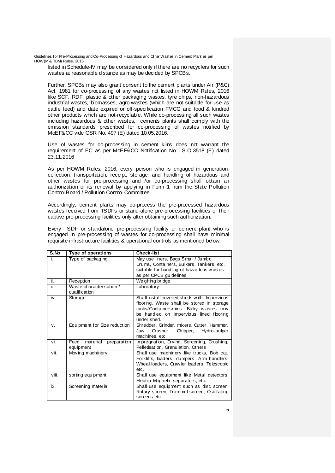listed in Schedule-IV may be considered only if there are no recyclers for such wastes at reasonable distance as may be decided by SPCBs.

Further, SPCBs may also grant consent to the cement plants under Air (P&C) Act, 1981 for co-processing of any wastes not listed in HOWM Rules, 2016 like SCF, RDF, plastic & other packaging wastes, tyre chips, non-hazardous industrial wastes, biomasses, agro-wastes (which are not suitable for use as cattle feed) and date expired or off-specification FMCG and food & kindred other products which are not-recyclable. While co-processing all such wastes including hazardous & other wastes, cements plants shall comply with the emission standards prescribed for co-processing of wastes notified by MoEF&CC vide GSR No. 497 (E) dated 10.05.2016.

Use of wastes for co-processing in cement kilns does not warrant the requirement of EC as per MoEF&CC Notification No. S.O.3518 (E) dated 23.11.2016

As per HOWM Rules, 2016, every person who is engaged in generation, collection, transportation, receipt, storage, and handling of hazardous and other wastes for pre-processing and /or co-processing shall obtain an authorization or its renewal by applying in Form 1 from the State Pollution Control Board / Pollution Control Committee.

Accordingly, cement plants may co-process the pre-processed hazardous wastes received from TSDFs or stand-alone pre-processing facilities or their captive pre-processing facilities only after obtaining such authorization.

Every TSDF or standalone pre-processing facility or cement plant who is engaged in pre-processing of wastes for co-processing shall have minimal requisite infrastructure facilities & operational controls as mentioned below;

| S.No  | Type of operations                           | <b>Check-list</b>                                                                                                                                                                              |
|-------|----------------------------------------------|------------------------------------------------------------------------------------------------------------------------------------------------------------------------------------------------|
| j.    | Type of packaging                            | May use liners, Bags Small / Jumbo,<br>Drums, Containers, Bulkers, Tankers, etc.<br>suitable for handling of hazardous wastes<br>as per CPCB guidelines                                        |
| ii.   | Reception                                    | Weighing bridge                                                                                                                                                                                |
| iii.  | Waste characterisation /<br>qualification    | Laboratory                                                                                                                                                                                     |
| iv.   | Storage                                      | Shall install covered sheds with Impervious<br>flooring. Waste shall be stored in storage<br>tanks/Containers/bins. Bulky wastes may<br>be handled on impervious lined flooring<br>under shed. |
| V.    | Equipment for Size reduction                 | Shredder, Grinder, mixers, Cutter, Hammer,<br>Crusher,<br>Jaw<br>Chipper,<br>Hydro-pulper<br>machines, etc.                                                                                    |
| vi.   | material<br>preparation<br>Feed<br>equipment | Impregnation, Drying, Screening, Crushing,<br>Pelletisation, Granulation, Others                                                                                                               |
| vii.  | Moving machinery                             | Shall use machinery like trucks, Bob cat,<br>Forklifts, loaders, dumpers, Arm handlers,<br>Wheal loaders, Crawler loaders, Telescopic<br>etc.                                                  |
| viii. | sorting equipment                            | Shall use equipment like Metal detectors,<br>Electro-Magnetic separators, etc.                                                                                                                 |
| ix.   | Screening material                           | Shall use equipment such as disc screen,<br>Rotary screen, Trommel screen, Oscillating<br>screens etc.                                                                                         |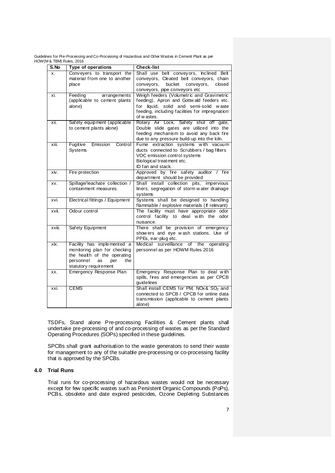| S.No   | Type of operations                                                                                                                                  | <b>Check-list</b>                                                                                                                                                                                    |
|--------|-----------------------------------------------------------------------------------------------------------------------------------------------------|------------------------------------------------------------------------------------------------------------------------------------------------------------------------------------------------------|
| x.     | Conveyers to transport the<br>material from one to another<br>place                                                                                 | Shall use belt conveyors, Inclined Belt<br>conveyors, Cleated belt conveyors, chain<br>conveyors,<br>bucket<br>conveyors,<br>closed<br>conveyors, pipe conveyors etc                                 |
| xi.    | Feeding<br>arrangements<br>(applicable to cement plants<br>alone)                                                                                   | Weigh feeders (Volumetric and Gravimetric<br>feeding), Apron and Gottwald feeders etc.<br>liquid, solid and semi-solid waste<br>for<br>feeding, including facilities for impregnation<br>of w astes. |
| xii.   | Safety equipment (applicable<br>to cement plants alone)                                                                                             | Rotary Air Lock, Safety shut off gate,<br>Double slide gates are utilized into the<br>feeding mechanism to avoid any back fire<br>due to any pressure build-up into the kiln.                        |
| xiii.  | Fugitive<br>Control<br>Emission<br>Systems                                                                                                          | Fume extraction systems with vacuum<br>ducts connected to Scrubbers / bag filters<br>VOC emission control systems<br>Biological treatment etc.<br>ID fan and stack.                                  |
| xiv.   | Fire protection                                                                                                                                     | Approved by fire safety auditor / fire<br>department should be provided                                                                                                                              |
| XV.    | Spillage/leachate collection /<br>containment measures.                                                                                             | Shall install collection pits, impervious<br>liners, segregation of storm water drainage<br>systems                                                                                                  |
| xvi.   | Electrical fittings / Equipment                                                                                                                     | Systems shall be designed to handling<br>flammable / explosive materials (If relevant)                                                                                                               |
| XVII.  | Odour control                                                                                                                                       | The facility must have appropriate<br>odor<br>control facility to deal with the<br>odor<br>nuisance.                                                                                                 |
| xviii. | Safety Equipment                                                                                                                                    | There shall be provision of emergency<br>show ers and eye wash stations. Use of<br>PPEs, ear-plug etc.                                                                                               |
| хiх.   | Facility has implemented a<br>monitoring plan for checking<br>the health of the operating<br>personnel<br>per<br>the<br>as<br>statutory requirement | Medical surveillance<br>of<br>operating<br>the<br>personnel as per HOWM Rules 2016                                                                                                                   |
| XX.    | Emergency Response Plan                                                                                                                             | Emergency Response Plan to deal with<br>spills, fires and emergencies as per CPCB<br>guidelines                                                                                                      |
| xxi.   | <b>CEMS</b>                                                                                                                                         | Shall install CEMS for PM, NOx & SO <sub>2</sub> and<br>connected to SPCB / CPCB for online data<br>transmission (applicable to cement plants<br>alone)                                              |

TSDFs, Stand alone Pre-processing Facilities & Cement plants shall undertake pre-processing of and co-processing of wastes as per the Standard Operating Procedures (SOPs) specified in these guidelines.

SPCBs shall grant authorisation to the waste generators to send their waste for management to any of the suitable pre-processing or co-processing facility that is approved by the SPCBs.

#### **4.0 Trial Runs**

Trial runs for co-processing of hazardous wastes would not be necessary except for few specific wastes such as Persistent Organic Compounds (PoPs), PCBs, obsolete and date expired pesticides, Ozone Depleting Substances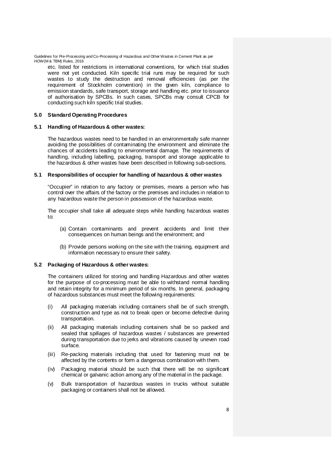etc. listed for restrictions in international conventions, for which trial studies were not yet conducted. Kiln specific trial runs may be required for such wastes to study the destruction and removal efficiencies (as per the requirement of Stockholm convention) in the given kiln, compliance to emission standards, safe transport, storage and handling etc. prior to issuance of authorisation by SPCBs. In such cases, SPCBs may consult CPCB for conducting such kiln specific trial studies.

#### **5.0 Standard Operating Procedures**

#### **5.1 Handling of Hazardous & other wastes:**

The hazardous wastes need to be handled in an environmentally safe manner avoiding the possibilities of contaminating the environment and eliminate the chances of accidents leading to environmental damage. The requirements of handling, including labelling, packaging, transport and storage applicable to the hazardous & other wastes have been described in following sub-sections.

#### **5.1 Responsibilities of occupier for handling of hazardous & other wastes**

"Occupier" in relation to any factory or premises, means a person who has control over the affairs of the factory or the premises and includes in relation to any hazardous waste the person in possession of the hazardous waste.

The occupier shall take all adequate steps while handling hazardous wastes to:

- (a) Contain contaminants and prevent accidents and limit their consequences on human beings and the environment; and
- (b) Provide persons working on the site with the training, equipment and information necessary to ensure their safety.

#### **5.2 Packaging of Hazardous & other wastes:**

The containers utilized for storing and handling Hazardous and other wastes for the purpose of co-processing must be able to withstand normal handling and retain integrity for a minimum period of six months. In general, packaging of hazardous substances must meet the following requirements:

- (i) All packaging materials including containers shall be of such strength, construction and type as not to break open or become defective during transportation.
- (ii) All packaging materials including containers shall be so packed and sealed that spillages of hazardous wastes / substances are prevented during transportation due to jerks and vibrations caused by uneven road surface.
- (iii) Re-packing materials including that used for fastening must not be affected by the contents or form a dangerous combination with them.
- (iv) Packaging material should be such that there will be no significant chemical or galvanic action among any of the material in the package.
- (v) Bulk transportation of hazardous wastes in trucks without suitable packaging or containers shall not be allowed.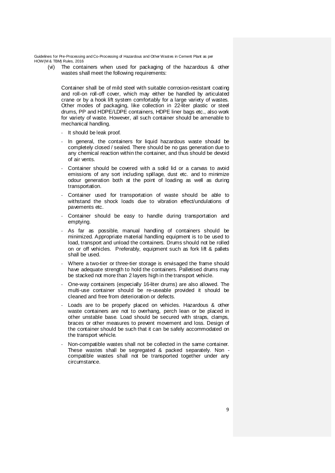(vi) The containers when used for packaging of the hazardous & other wastes shall meet the following requirements:

Container shall be of mild steel with suitable corrosion-resistant coating and roll-on roll-off cover, which may either be handled by articulated crane or by a hook lift system comfortably for a large variety of wastes. Other modes of packaging, like collection in 22-liter plastic or steel drums, PP and HDPE/LDPE containers, HDPE liner bags etc., also work for variety of waste. However, all such container should be amenable to mechanical handling.

- It should be leak proof.
- In general, the containers for liquid hazardous waste should be completely closed / sealed. There should be no gas generation due to any chemical reaction within the container, and thus should be devoid of air vents.
- Container should be covered with a solid lid or a canvas to avoid emissions of any sort including spillage, dust etc. and to minimize odour generation both at the point of loading as well as during transportation.
- Container used for transportation of waste should be able to withstand the shock loads due to vibration effect/undulations of pavements etc.
- Container should be easy to handle during transportation and emptying.
- As far as possible, manual handling of containers should be minimized. Appropriate material handling equipment is to be used to load, transport and unload the containers. Drums should not be rolled on or off vehicles. Preferably, equipment such as fork lift & pallets shall be used.
- Where a two-tier or three-tier storage is envisaged the frame should have adequate strength to hold the containers. Palletised drums may be stacked not more than 2 layers high in the transport vehicle.
- One-way containers (especially 16-liter drums) are also allowed. The multi-use container should be re-useable provided it should be cleaned and free from deterioration or defects.
- Loads are to be properly placed on vehicles. Hazardous & other waste containers are not to overhang, perch lean or be placed in other unstable base. Load should be secured with straps, clamps, braces or other measures to prevent movement and loss. Design of the container should be such that it can be safely accommodated on the transport vehicle.
- Non-compatible wastes shall not be collected in the same container. These wastes shall be segregated & packed separately. Non compatible wastes shall not be transported together under any circumstance.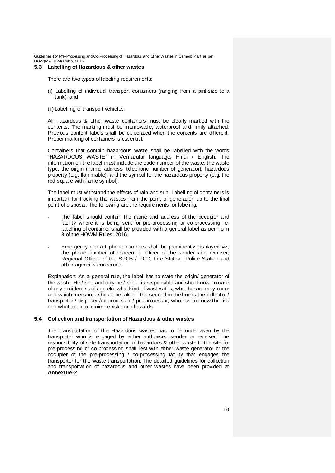#### **5.3 Labelling of Hazardous & other wastes**

There are two types of labeling requirements:

- (i) Labelling of individual transport containers (ranging from a pint-size to a tank); and
- (ii)Labelling of transport vehicles.

All hazardous & other waste containers must be clearly marked with the contents. The marking must be irremovable, waterproof and firmly attached. Previous content labels shall be obliterated when the contents are different. Proper marking of containers is essential.

Containers that contain hazardous waste shall be labelled with the words "HAZARDOUS WASTE" in Vernacular language, Hindi / English. The information on the label must include the code number of the waste, the waste type, the origin (name, address, telephone number of generator), hazardous property (e.g. flammable), and the symbol for the hazardous property (e.g. the red square with flame symbol).

The label must withstand the effects of rain and sun. Labelling of containers is important for tracking the wastes from the point of generation up to the final point of disposal. The following are the requirements for labeling:

- The label should contain the name and address of the occupier and facility where it is being sent for pre-processing or co-processing i.e. labelling of container shall be provided with a general label as per Form 8 of the HOWM Rules, 2016.
- Emergency contact phone numbers shall be prominently displayed viz; the phone number of concerned officer of the sender and receiver, Regional Officer of the SPCB / PCC, Fire Station, Police Station and other agencies concerned.

Explanation: As a general rule, the label has to state the origin/ generator of the waste. He / she and only he / she – is responsible and shall know, in case of any accident / spillage etc. what kind of wastes it is, what hazard may occur and which measures should be taken. The second in the line is the collector / transporter / disposer /co-processor / pre-processor, who has to know the risk and what to do to minimize risks and hazards.

#### **5.4 Collection and transportation of Hazardous & other wastes**

The transportation of the Hazardous wastes has to be undertaken by the transporter who is engaged by either authorised sender or receiver. The responsibility of safe transportation of hazardous & other waste to the site for pre-processing or co-processing shall rest with either waste generator or the occupier of the pre-processing / co-processing facility that engages the transporter for the waste transportation. The detailed guidelines for collection and transportation of hazardous and other wastes have been provided at **Annexure-2**.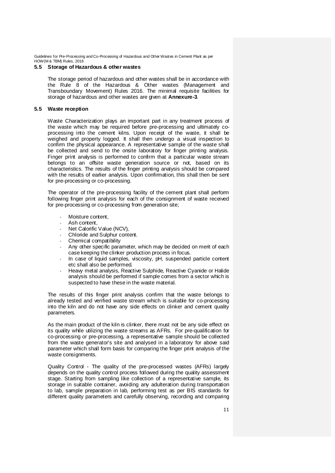# **5.5 Storage of Hazardous & other wastes**

The storage period of hazardous and other wastes shall be in accordance with the Rule 8 of the Hazardous & Other wastes (Management and Transboundary Movement) Rules 2016. The minimal requisite facilities for storage of hazardous and other wastes are given at **Annexure-3**.

#### **5.5 Waste reception**

Waste Characterization plays an important part in any treatment process of the waste which may be required before pre-processing and ultimately coprocessing into the cement kilns. Upon receipt of the waste, it shall be weighed and property logged. It shall then undergo a visual inspection to confirm the physical appearance. A representative sample of the waste shall be collected and send to the onsite laboratory for finger printing analysis. Finger print analysis is performed to confirm that a particular waste stream belongs to an offsite waste generation source or not, based on its characteristics. The results of the finger printing analysis should be compared with the results of earlier analysis. Upon confirmation, this shall then be sent for pre-processing or co-processing.

The operator of the pre-processing facility of the cement plant shall perform following finger print analysis for each of the consignment of waste received for pre-processing or co-processing from generation site;

- Moisture content,
- Ash content,
- Net Calorific Value (NCV),
- Chloride and Sulphur content.
- Chemical compatibility
- Any other specific parameter, which may be decided on merit of each case keeping the clinker production process in focus.
- In case of liquid samples, viscosity, pH, suspended particle content etc shall also be performed.
- Heavy metal analysis, Reactive Sulphide, Reactive Cyanide or Halide analysis should be performed if sample comes from a sector which is suspected to have these in the waste material.

The results of this finger print analysis confirm that the waste belongs to already tested and verified waste stream which is suitable for co-processing into the kiln and do not have any side effects on clinker and cement quality parameters.

As the main product of the kiln is clinker, there must not be any side effect on its quality while utilizing the waste streams as AFRs. For pre-qualification for co-processing or pre-processing, a representative sample should be collected from the waste generator's site and analysed in a laboratory for above said parameter which shall form basis for comparing the finger print analysis of the waste consignments.

Quality Control - The quality of the pre-processed wastes (AFRs) largely depends on the quality control process followed during the quality assessment stage. Starting from sampling like collection of a representative sample, its storage in suitable container, avoiding any adulteration during transportation to lab, sample preparation in lab, performing test as per BIS standards for different quality parameters and carefully observing, recording and comparing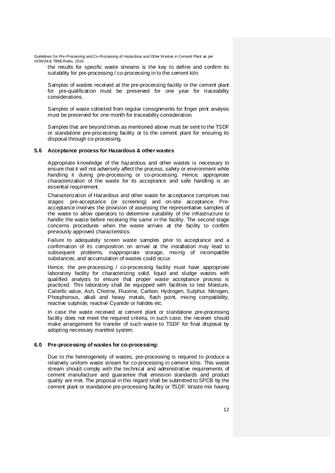the results for specific waste streams is the key to define and confirm its suitability for pre-processing / co-processing in to the cement kiln.

Samples of wastes received at the pre-processing facility or the cement plant for pre-qualification must be preserved for one year for traceability considerations.

Samples of waste collected from regular consignments for finger print analysis must be preserved for one month for traceability consideration.

Samples that are beyond times as mentioned above must be sent to the TSDF or standalone pre-processing facility or to the cement plant for ensuring its disposal through co-processing.

#### **5.6 Acceptance process for Hazardous & other wastes**

Appropriate knowledge of the hazardous and other wastes is necessary to ensure that it will not adversely affect the process, safety or environment while handling it during pre-processing or co-processing. Hence, appropriate characterization of the waste for its acceptance and safe handling is an essential requirement.

Characterization of Hazardous and other waste for acceptance comprises two stages: pre-acceptance (or screening) and on-site acceptance. Preacceptance involves the provision of assessing the representative samples of the waste to allow operators to determine suitability of the infrastructure to handle the waste before receiving the same in the facility. The second stage concerns procedures when the waste arrives at the facility to confirm previously approved characteristics.

Failure to adequately screen waste samples prior to acceptance and a confirmation of its composition on arrival at the installation may lead to subsequent problems, inappropriate storage, mixing of incompatible substances, and accumulation of wastes could occur.

Hence, the pre-processing / co-processing facility must have appropriate laboratory facility for characterizing solid, liquid and sludge wastes with qualified analysts to ensure that proper waste acceptance process is practiced. This laboratory shall be equipped with facilities to test Moisture, Calorific value, Ash, Chorine, Fluorine, Carbon, Hydrogen, Sulphur, Nitrogen, Phosphorous, alkali and heavy metals, flash point, mixing compatibility, reactive sulphide, reactive Cyanide or halides etc.

In case the waste received at cement plant or standalone pre-processing facility does not meet the required criteria, in such case, the receiver should make arrangement for transfer of such waste to TSDF for final disposal by adopting necessary manifest system.

#### **6.0 Pre-processing of wastes for co-processing:**

Due to the heterogeneity of wastes, pre-processing is required to produce a relatively uniform waste stream for co-processing in cement kilns. This waste stream should comply with the technical and administrative requirements of cement manufacture and guarantee that emission standards and product quality are met. The proposal in this regard shall be submitted to SPCB by the cement plant or standalone pre-processing facility or TSDF. Waste mix having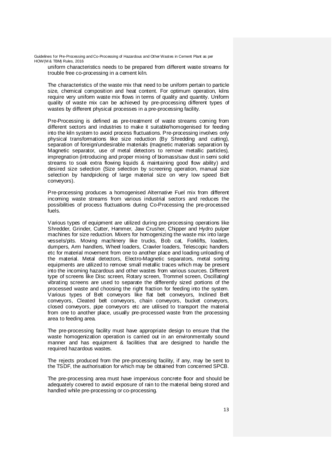uniform characteristics needs to be prepared from different waste streams for trouble free co-processing in a cement kiln.

The characteristics of the waste mix that need to be uniform pertain to particle size, chemical composition and heat content. For optimum operation, kilns require very uniform waste mix flows in terms of quality and quantity. Uniform quality of waste mix can be achieved by pre-processing different types of wastes by different physical processes in a pre-processing facility.

Pre-Processing is defined as pre-treatment of waste streams coming from different sectors and industries to make it suitable/homogenised for feeding into the kiln system to avoid process fluctuations. Pre-processing involves only physical transformations like size reduction (By Shredding and cutting), separation of foreign/undesirable materials (magnetic materials separation by Magnetic separator, use of metal detectors to remove metallic particles), impregnation (introducing and proper mixing of biomass/saw dust in semi solid streams to soak extra flowing liquids & maintaining good flow ability) and desired size selection (Size selection by screening operation, manual size selection by handpicking of large material size on very low speed Belt conveyors).

Pre-processing produces a homogenised Alternative Fuel mix from different incoming waste streams from various industrial sectors and reduces the possibilities of process fluctuations during Co-Processing the pre-processed fuels.

Various types of equipment are utilized during pre-processing operations like Shredder, Grinder, Cutter, Hammer, Jaw Crusher, Chipper and Hydro pulper machines for size reduction. Mixers for homogenizing the waste mix into large vessels/pits. Moving machinery like trucks, Bob cat, Forklifts, loaders, dumpers, Arm handlers, Wheel loaders, Crawler loaders, Telescopic handlers etc for material movement from one to another place and loading unloading of the material. Metal detectors, Electro-Magnetic separators, metal sorting equipments are utilized to remove small metallic traces which may be present into the incoming hazardous and other wastes from various sources. Different type of screens like Disc screen, Rotary screen, Trommel screen, Oscillating/ vibrating screens are used to separate the differently sized portions of the processed waste and choosing the right fraction for feeding into the system. Various types of Belt conveyors like flat belt conveyors, Inclined Belt conveyors, Cleated belt conveyors, chain conveyors, bucket conveyors, closed conveyors, pipe conveyors etc are utilised to transport the material from one to another place, usually pre-processed waste from the processing area to feeding area.

The pre-processing facility must have appropriate design to ensure that the waste homogenization operation is carried out in an environmentally sound manner and has equipment & facilities that are designed to handle the required hazardous wastes.

The rejects produced from the pre-processing facility, if any, may be sent to the TSDF, the authorisation for which may be obtained from concerned SPCB.

The pre-processing area must have impervious concrete floor and should be adequately covered to avoid exposure of rain to the material being stored and handled while pre-processing or co-processing.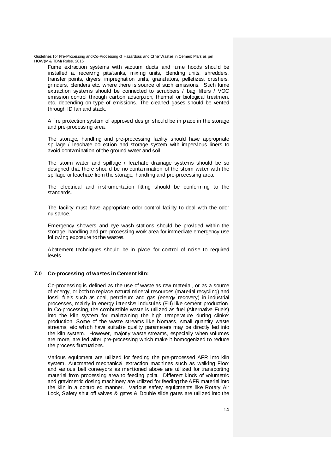Fume extraction systems with vacuum ducts and fume hoods should be installed at receiving pits/tanks, mixing units, blending units, shredders, transfer points, dryers, impregnation units, granulators, pelletizes, crushers, grinders, blenders etc. where there is source of such emissions. Such fume extraction systems should be connected to scrubbers / bag filters / VOC emission control through carbon adsorption, thermal or biological treatment etc. depending on type of emissions. The cleaned gases should be vented through ID fan and stack.

A fire protection system of approved design should be in place in the storage and pre-processing area.

The storage, handling and pre-processing facility should have appropriate spillage / leachate collection and storage system with impervious liners to avoid contamination of the ground water and soil.

The storm water and spillage / leachate drainage systems should be so designed that there should be no contamination of the storm water with the spillage or leachate from the storage, handling and pre-processing area.

The electrical and instrumentation fitting should be conforming to the standards.

The facility must have appropriate odor control facility to deal with the odor nuisance.

Emergency showers and eye wash stations should be provided within the storage, handling and pre-processing work area for immediate emergency use following exposure to the wastes.

Abatement techniques should be in place for control of noise to required levels.

#### **7.0 Co-processing of wastes in Cement kiln:**

Co-processing is defined as the use of [waste](https://en.wikipedia.org/wiki/Waste) as raw material, or as a source of energy, or both to replace natural mineral resources (material recycling) and fossil fuels such as coal, petroleum and gas (energy recovery) in industrial processes, mainly in energy intensive industries (EII) lik[e cement](https://en.wikipedia.org/wiki/Cement) production. In Co-processing, the combustible waste is utilized as fuel (Alternative Fuels) into the kiln system for maintaining the high temperature during clinker production. Some of the waste streams like biomass, small quantity waste streams, etc which have suitable quality parameters may be directly fed into the kiln system. However, majorly waste streams, especially when volumes are more, are fed after pre-processing which make it homogenized to reduce the process fluctuations.

Various equipment are utilized for feeding the pre-processed AFR into kiln system. Automated mechanical extraction machines such as walking Floor and various belt conveyors as mentioned above are utilized for transporting material from processing area to feeding point. Different kinds of volumetric and gravimetric dosing machinery are utilized for feeding the AFR material into the kiln in a controlled manner. Various safety equipments like Rotary Air Lock, Safety shut off valves & gates & Double slide gates are utilized into the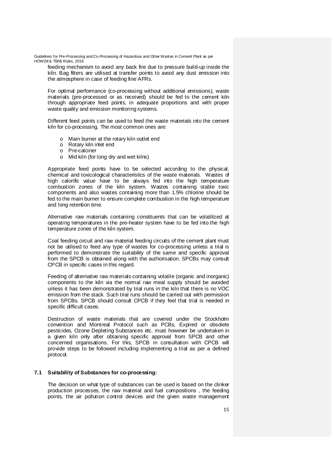feeding mechanism to avoid any back fire due to pressure build-up inside the kiln. Bag filters are utilised at transfer points to avoid any dust emission into the atmosphere in case of feeding fine AFRs.

For optimal performance (co-processing without additional emissions), waste materials (pre-processed or as received) should be fed to the cement kiln through appropriate feed points, in adequate proportions and with proper waste quality and emission monitoring systems.

Different feed points can be used to feed the waste materials into the cement kiln for co-processing. The most common ones are:

- o Main burner at the rotary kiln outlet end
- o Rotary kiln inlet end
- o Pre-calciner
- o Mid kiln (for long dry and wet kilns)

Appropriate feed points have to be selected according to the physical, chemical and toxicological characteristics of the waste materials. Wastes of high calorific value have to be always fed into the high temperature combustion zones of the kiln system. Wastes containing stable toxic components and also wastes containing more than 1.5% chlorine should be fed to the main burner to ensure complete combustion in the high temperature and long retention time.

Alternative raw materials containing constituents that can be volatilized at operating temperatures in the pre-heater system have to be fed into the high temperature zones of the kiln system.

Coal feeding circuit and raw material feeding circuits of the cement plant must not be utilised to feed any type of wastes for co-processing unless a trial is performed to demonstrate the suitability of the same and specific approval from the SPCB is obtained along with the authorisation. SPCBs may consult CPCB in specific cases in this regard.

Feeding of alternative raw materials containing volatile (organic and inorganic) components to the kiln via the normal raw meal supply should be avoided unless it has been demonstrated by trial runs in the kiln that there is no VOC emission from the stack. Such trial runs should be carried out with permission from SPCBs. SPCB should consult CPCB if they feel that trial is needed in specific difficult cases.

Destruction of waste materials that are covered under the Stockholm convention and Montreal Protocol such as PCBs, Expired or obsolete pesticides, Ozone Depleting Substances etc. must however be undertaken in a given kiln only after obtaining specific approval from SPCB and other concerned organisations. For this, SPCB in consultation with CPCB will provide steps to be followed including implementing a trial as per a defined protocol.

# **7.1 Suitability of Substances for co-processing:**

The decision on what type of substances can be used is based on the clinker production processes, the raw material and fuel compositions , the feeding points, the air pollution control devices and the given waste management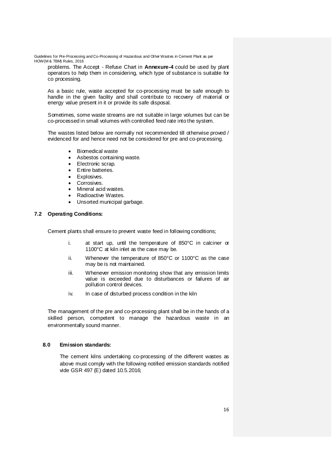problems. The Accept - Refuse Chart in **Annexure-4** could be used by plant operators to help them in considering, which type of substance is suitable for co processing.

As a basic rule, waste accepted for co-processing must be safe enough to handle in the given facility and shall contribute to recovery of material or energy value present in it or provide its safe disposal.

Sometimes, some waste streams are not suitable in large volumes but can be co-processed in small volumes with controlled feed rate into the system.

The wastes listed below are normally not recommended till otherwise proved / evidenced for and hence need not be considered for pre and co-processing.

- Biomedical waste
- Asbestos containing waste.
- Electronic scrap.
- Entire batteries.
- Explosives.
- Corrosives.
- Mineral acid wastes.
- Radioactive Wastes.
- Unsorted municipal garbage.

# **7.2 Operating Conditions:**

Cement plants shall ensure to prevent waste feed in following conditions;

- i. at start up, until the temperature of 850°C in calciner or 1100°C at kiln inlet as the case may be.
- ii. Whenever the temperature of 850°C or 1100°C as the case may be is not maintained.
- iii. Whenever emission monitoring show that any emission limits value is exceeded due to disturbances or failures of air pollution control devices.
- iv. In case of disturbed process condition in the kiln

The management of the pre and co-processing plant shall be in the hands of a skilled person, competent to manage the hazardous waste in an environmentally sound manner.

#### **8.0 Emission standards:**

The cement kilns undertaking co-processing of the different wastes as above must comply with the following notified emission standards notified vide GSR 497 (E) dated 10.5.2016;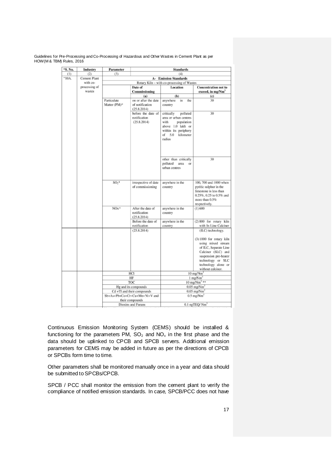| "S. No. | Industry      | Parameter                                                   |                                    | <b>Standards</b>                           |                                                              |
|---------|---------------|-------------------------------------------------------------|------------------------------------|--------------------------------------------|--------------------------------------------------------------|
| (1)     | (2)           | (3)<br>(4)                                                  |                                    |                                            |                                                              |
| "10A.   | Cement Plant  |                                                             |                                    | <b>A- Emission Standards</b>               |                                                              |
|         | with co-      |                                                             |                                    | Rotary Kiln - with co-processing of Wastes |                                                              |
|         | processing of |                                                             | Date of                            | Location                                   | <b>Concentration not to</b>                                  |
|         | wastes        |                                                             | Commissioning                      |                                            | exceed, in mg/Nm <sup>3</sup>                                |
|         |               |                                                             | (a)                                | (b)                                        | (c)                                                          |
|         |               | Particulate                                                 | on or after the date               | anywhere<br>in<br>the                      | 30                                                           |
|         |               | Matter (PM) <sup>®</sup>                                    | of notification                    | country                                    |                                                              |
|         |               |                                                             | (25.8.2014)                        |                                            |                                                              |
|         |               |                                                             | before the date of                 | polluted<br>critically                     | 30                                                           |
|         |               |                                                             | notification                       | area or urban centres                      |                                                              |
|         |               |                                                             | (25.8.2014)                        | with<br>population                         |                                                              |
|         |               |                                                             |                                    | above 1.0 lakh or<br>within its periphery  |                                                              |
|         |               |                                                             |                                    | 5.0<br>kilometer<br>of                     |                                                              |
|         |               |                                                             |                                    | radius                                     |                                                              |
|         |               |                                                             |                                    |                                            |                                                              |
|         |               |                                                             |                                    |                                            |                                                              |
|         |               |                                                             |                                    |                                            |                                                              |
|         |               |                                                             |                                    |                                            |                                                              |
|         |               |                                                             |                                    | other than critically                      | 30                                                           |
|         |               |                                                             |                                    | polluted<br>area<br>or<br>urban centres    |                                                              |
|         |               |                                                             |                                    |                                            |                                                              |
|         |               |                                                             |                                    |                                            |                                                              |
|         |               | $SO2$ *                                                     | irrespective of date               | anywhere in the                            | 100, 700 and 1000 when                                       |
|         |               |                                                             | of commissioning                   | country                                    | pyritic sulphur in the                                       |
|         |               |                                                             |                                    |                                            | limestone is less than                                       |
|         |               |                                                             |                                    |                                            | 0.25%, 0.25 to 0.5% and                                      |
|         |               |                                                             |                                    |                                            | more than 0.5%                                               |
|         |               |                                                             |                                    |                                            | respectively.                                                |
|         |               | NO <sub>x</sub> <sup>3</sup>                                | After the date of                  | anywhere in the                            | (1)600                                                       |
|         |               |                                                             | notification                       | country                                    |                                                              |
|         |               |                                                             | (25.8.2014)                        |                                            |                                                              |
|         |               |                                                             | Before the date of<br>notification | anywhere in the                            | (2) 800 for rotary kiln<br>with In Line Calciner             |
|         |               |                                                             |                                    | country                                    |                                                              |
|         |               |                                                             | (25.8.2014)                        |                                            | (ILC) technology.                                            |
|         |               |                                                             |                                    |                                            | (3) 1000 for rotary kiln                                     |
|         |               |                                                             |                                    |                                            | using mixed stream                                           |
|         |               |                                                             |                                    |                                            | of ILC, Separate Line                                        |
|         |               |                                                             |                                    |                                            | Calciner (SLC) and                                           |
|         |               |                                                             |                                    |                                            | suspension pre-heater                                        |
|         |               |                                                             |                                    |                                            | technology or SLC                                            |
|         |               |                                                             |                                    |                                            | technology alone or                                          |
|         |               |                                                             |                                    |                                            | without calciner.                                            |
|         |               |                                                             | HCI                                |                                            | $10 \text{ mg}/\text{Nm}^3$                                  |
|         |               |                                                             | HF                                 |                                            | $1$ mg/ $Nm3$                                                |
|         |               |                                                             | TOC<br>Hg and its compounds        |                                            | $10 \text{ mg/Nm}$ <sup>2</sup><br>$0.05$ mg/Nm <sup>3</sup> |
|         |               |                                                             |                                    |                                            | $0.05$ mg/Nm <sup>3</sup>                                    |
|         |               | Cd +Tl and their compounds<br>Sb+As+Pb+Co+Cr+Cu+Mn+Ni+V and |                                    |                                            | $0.5$ mg/Nm <sup>3</sup>                                     |
|         |               | their compounds                                             |                                    |                                            |                                                              |
|         |               |                                                             | Dioxins and Furans                 |                                            | $0.1$ ngTEQ/ $Nm3$                                           |

Continuous Emission Monitoring System (CEMS) should be installed & functioning for the parameters PM,  $SO_2$  and  $NO_x$  in the first phase and the data should be uplinked to CPCB and SPCB servers. Additional emission parameters for CEMS may be added in future as per the directions of CPCB or SPCBs form time to time.

Other parameters shall be monitored manually once in a year and data should be submitted to SPCBs/CPCB.

SPCB / PCC shall monitor the emission from the cement plant to verify the compliance of notified emission standards. In case, SPCB/PCC does not have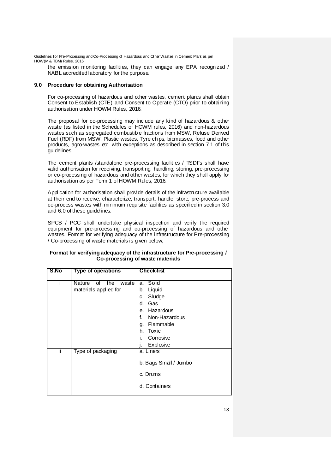the emission monitoring facilities, they can engage any EPA recognized / NABL accredited laboratory for the purpose.

#### **9.0 Procedure for obtaining Authorisation**

For co-processing of hazardous and other wastes, cement plants shall obtain Consent to Establish (CTE) and Consent to Operate (CTO) prior to obtaining authorisation under HOWM Rules, 2016.

The proposal for co-processing may include any kind of hazardous & other waste (as listed in the Schedules of HOWM rules, 2016) and non-hazardous wastes such as segregated combustible fractions from MSW, Refuse Derived Fuel (RDF) from MSW, Plastic wastes, Tyre chips, biomasses, food and other products, agro-wastes etc. with exceptions as described in section 7.1 of this guidelines.

The cement plants /standalone pre-processing facilities / TSDFs shall have valid authorisation for receiving, transporting, handling, storing, pre-processing or co-processing of hazardous and other wastes, for which they shall apply for authorisation as per Form 1 of HOWM Rules, 2016.

Application for authorisation shall provide details of the infrastructure available at their end to receive, characterize, transport, handle, store, pre-process and co-process wastes with minimum requisite facilities as specified in section 3.0 and 6.0 of these guidelines.

SPCB / PCC shall undertake physical inspection and verify the required equipment for pre-processing and co-processing of hazardous and other wastes. Format for verifying adequacy of the infrastructure for Pre-processing / Co-processing of waste materials is given below;

| S.No | <b>Type of operations</b>                             | <b>Check-list</b>                                                                                                                           |
|------|-------------------------------------------------------|---------------------------------------------------------------------------------------------------------------------------------------------|
|      | Nature<br>the<br>of<br>waste<br>materials applied for | a. Solid<br>Liquid<br>b.<br>Sludge<br>C.<br>Gas<br>d.<br>e. Hazardous<br>f.<br>Non-Hazardous<br>g. Flammable<br>h. Toxic<br>i.<br>Corrosive |
| Ϊİ   | Type of packaging                                     | Explosive<br>a. Liners<br>b. Bags Small / Jumbo<br>c. Drums<br>d. Containers                                                                |

#### **Format for verifying adequacy of the infrastructure for Pre-processing / Co-processing of waste materials**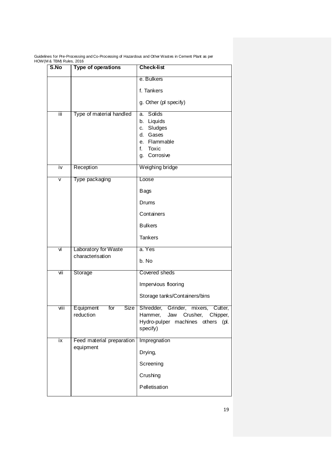| S.No                    | <b>Type of operations</b>                | <b>Check-list</b>                                                                                                       |
|-------------------------|------------------------------------------|-------------------------------------------------------------------------------------------------------------------------|
|                         |                                          | e. Bulkers                                                                                                              |
|                         |                                          | f. Tankers                                                                                                              |
|                         |                                          | g. Other (pl specify)                                                                                                   |
| Ϊij                     | Type of material handled                 | Solids<br>a.<br>b. Liquids<br>Sludges<br>C.<br>d.<br>Gases<br>e. Flammable<br>f.<br>Toxic<br>Corrosive<br>g.            |
| iv                      | Reception                                | Weighing bridge                                                                                                         |
| $\overline{\mathsf{v}}$ | Type packaging                           | Loose                                                                                                                   |
|                         |                                          | <b>Bags</b>                                                                                                             |
|                         |                                          | Drums                                                                                                                   |
|                         |                                          | Containers                                                                                                              |
|                         |                                          | <b>Bulkers</b>                                                                                                          |
|                         |                                          | <b>Tankers</b>                                                                                                          |
| Νj                      | Laboratory for Waste<br>characterisation | a. Yes                                                                                                                  |
|                         |                                          | b. No                                                                                                                   |
| vii                     | Storage                                  | Covered sheds                                                                                                           |
|                         |                                          | Impervious flooring                                                                                                     |
|                         |                                          | Storage tanks/Containers/bins                                                                                           |
| viii                    | Size<br>Equipment<br>for<br>reduction    | Shredder, Grinder, mixers, Cutter,<br>Hammer, Jaw Crusher, Chipper,<br>Hydro-pulper machines others<br>(pl.<br>specify) |
| ix                      | Feed material preparation<br>equipment   | Impregnation                                                                                                            |
|                         |                                          | Drying,                                                                                                                 |
|                         |                                          | Screening                                                                                                               |
|                         |                                          | Crushing                                                                                                                |
|                         |                                          | Pelletisation                                                                                                           |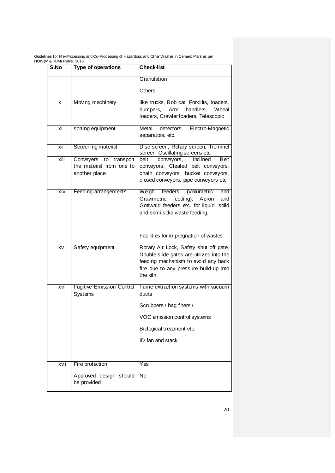| S.No | <b>Type of operations</b>                   | <b>Check-list</b>                                                                |
|------|---------------------------------------------|----------------------------------------------------------------------------------|
|      |                                             | Granulation                                                                      |
|      |                                             | Others                                                                           |
| X    | Moving machinery                            | like trucks, Bob cat, Forklifts, loaders,                                        |
|      |                                             | dumpers,<br>Arm<br>handlers,<br>Wheal<br>loaders, Crawler loaders, Telescopic    |
| хi   | sorting equipment                           | Metal<br>detectors, Electro-Magnetic<br>separators, etc.                         |
| xii  | Screening material                          | Disc screen, Rotary screen, Trommel<br>screen, Oscillating screens etc.          |
| xiii | Conveyers<br>to transport                   | conveyors,<br>Inclined<br><b>B</b> elt<br>belt                                   |
|      | the material from one to<br>another place   | conveyors, Cleated belt conveyors,<br>chain conveyors, bucket conveyors,         |
|      |                                             | closed conveyors, pipe conveyors etc                                             |
| xiv  | Feeding arrangements                        | Weigh<br>feeders<br>(Volumetric<br>and                                           |
|      |                                             | Gravimetric<br>feeding), Apron<br>and<br>Gottwald feeders etc. for liquid, solid |
|      |                                             | and semi-solid waste feeding.                                                    |
|      |                                             |                                                                                  |
|      |                                             | Facilities for impregnation of wastes.                                           |
| XV   | Safety equipment                            | Rotary Air Lock, Safety shut off gate,                                           |
|      |                                             | Double slide gates are utilized into the<br>feeding mechanism to avoid any back  |
|      |                                             | fire due to any pressure build-up into                                           |
|      |                                             | the kiln.                                                                        |
| xvi  | <b>Fugitive Emission Control</b><br>Systems | Fume extraction systems with vacuum<br>ducts                                     |
|      |                                             | Scrubbers / bag filters /                                                        |
|      |                                             | VOC emission control systems                                                     |
|      |                                             | Biological treatment etc.                                                        |
|      |                                             | ID fan and stack.                                                                |
|      |                                             |                                                                                  |
| xvii | Fire protection                             | Yes                                                                              |
|      | Approved design should<br>be provided       | <b>No</b>                                                                        |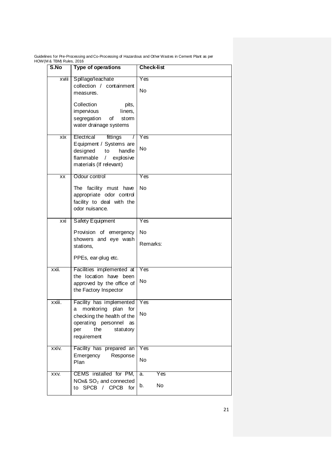| $\alpha$ rules, 2010<br>S.No | <b>Type of operations</b>                                                                                                                                         | <b>Check-list</b>                   |
|------------------------------|-------------------------------------------------------------------------------------------------------------------------------------------------------------------|-------------------------------------|
| xviii                        | Spillage/leachate<br>collection / containment<br>measures.<br>Collection<br>pits,<br>impervious<br>liners,<br>segregation<br>of<br>stom<br>water drainage systems | Yes<br>No                           |
| xix                          | fittings<br>Electrical<br>Equipment / Systems are<br>designed<br>to<br>handle<br>flammable<br>explosive<br>$\prime$<br>materials (If relevant)                    | Yes<br>No                           |
| $\overline{XX}$              | Odour control<br>The facility must have<br>appropriate odor control<br>facility to deal with the<br>odor nuisance.                                                | Yes<br>No                           |
| xxi                          | Safety Equipment<br>Provision of emergency<br>showers and eye wash<br>stations,<br>PPEs, ear-plug etc.                                                            | Yes<br>No<br>Remarks:               |
| xxii.                        | Facilities implemented at<br>the location have been<br>approved by the office of<br>the Factory Inspector                                                         | Yes<br>No                           |
| xxiii.                       | Facility has implemented<br>monitoring plan<br>for<br>a<br>checking the health of the<br>operating personnel<br>as<br>the<br>statutory<br>per<br>requirement      | Yes<br>No                           |
| xxiv.                        | Facility has prepared an<br>Emergency<br>Response<br>Plan                                                                                                         | Yes<br>No                           |
| XXV.                         | CEMS installed for PM,<br>NOx& SO <sub>2</sub> and connected<br>to SPCB / CPCB<br>for                                                                             | Yes<br>$\overline{a}$ .<br>No<br>b. |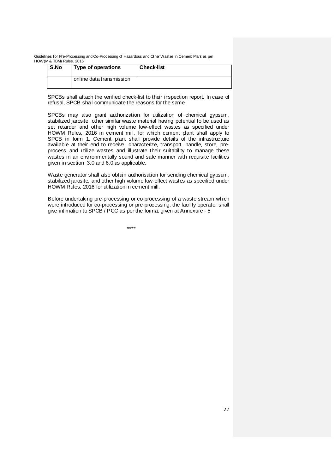| S.No | Type of operations       | <b>Check-list</b> |
|------|--------------------------|-------------------|
|      | online data transmission |                   |

SPCBs shall attach the verified check-list to their inspection report. In case of refusal, SPCB shall communicate the reasons for the same.

SPCBs may also grant authorization for utilization of chemical gypsum, stabilized jarosite, other similar waste material having potential to be used as set retarder and other high volume low-effect wastes as specified under HOWM Rules, 2016 in cement mill, for which cement plant shall apply to SPCB in form 1. Cement plant shall provide details of the infrastructure available at their end to receive, characterize, transport, handle, store, preprocess and utilize wastes and illustrate their suitability to manage these wastes in an environmentally sound and safe manner with requisite facilities given in section 3.0 and 6.0 as applicable.

Waste generator shall also obtain authorisation for sending chemical gypsum, stabilized jarosite, and other high volume low-effect wastes as specified under HOWM Rules, 2016 for utilization in cement mill.

Before undertaking pre-processing or co-processing of a waste stream which were introduced for co-processing or pre-processing, the facility operator shall give intimation to SPCB / PCC as per the format given at Annexure - 5

\*\*\*\*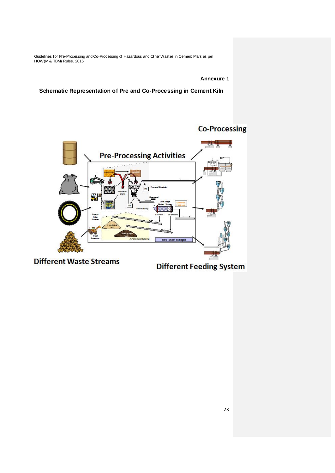**Annexure 1**

**Schematic Representation of Pre and Co-Processing in Cement Kiln**

# **Co-Processing**



**Different Feeding System**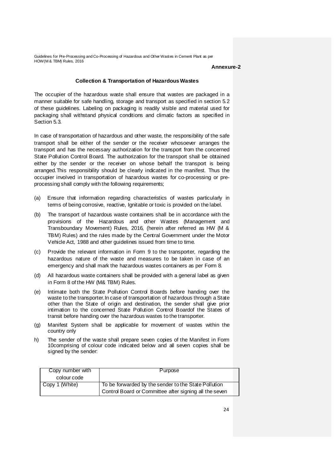#### **Annexure-2**

# **Collection & Transportation of Hazardous Wastes**

The occupier of the hazardous waste shall ensure that wastes are packaged in a manner suitable for safe handling, storage and transport as specified in section 5.2 of these guidelines. Labeling on packaging is readily visible and material used for packaging shall withstand physical conditions and climatic factors as specified in Section 5.3.

In case of transportation of hazardous and other waste, the responsibility of the safe transport shall be either of the sender or the receiver whosoever arranges the transport and has the necessary authorization for the transport from the concerned State Pollution Control Board. The authorization for the transport shall be obtained either by the sender or the receiver on whose behalf the transport is being arranged.This responsibility should be clearly indicated in the manifest. Thus the occupier involved in transportation of hazardous wastes for co-processing or preprocessing shall comply with the following requirements;

- (a) Ensure that information regarding characteristics of wastes particularly in terms of being corrosive, reactive, Ignitable or toxic is provided on the label.
- (b) The transport of hazardous waste containers shall be in accordance with the provisions of the Hazardous and other Wastes (Management and Transboundary Movement) Rules, 2016, (herein after referred as HW (M & TBM) Rules) and the rules made by the Central Government under the Motor Vehicle Act, 1988 and other guidelines issued from time to time.
- (c) Provide the relevant information in Form 9 to the transporter, regarding the hazardous nature of the waste and measures to be taken in case of an emergency and shall mark the hazardous wastes containers as per Form 8.
- (d) All hazardous waste containers shall be provided with a general label as given in Form 8 of the HW (M& TBM) Rules.
- (e) Intimate both the State Pollution Control Boards before handing over the waste to the transporter.In case of transportation of hazardous through a State other than the State of origin and destination, the sender shall give prior intimation to the concerned State Pollution Control Boardof the States of transit before handing over the hazardous wastes to the transporter.
- (g) Manifest System shall be applicable for movement of wastes within the country only
- h) The sender of the waste shall prepare seven copies of the Manifest in Form 10comprising of colour code indicated below and all seven copies shall be signed by the sender:

| Copy number with | Purpose                                                                                                        |
|------------------|----------------------------------------------------------------------------------------------------------------|
| colour code      |                                                                                                                |
| Copy 1 (White)   | To be forwarded by the sender to the State Pollution<br>Control Board or Committee after signing all the seven |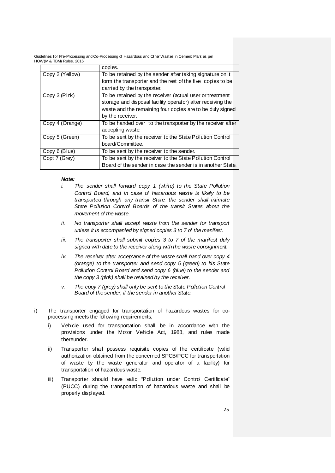|                 | copies.                                                     |
|-----------------|-------------------------------------------------------------|
| Copy 2 (Yellow) | To be retained by the sender after taking signature on it   |
|                 | form the transporter and the rest of the five copies to be  |
|                 | carried by the transporter.                                 |
| Copy 3 (Pink)   | To be retained by the receiver (actual user or treatment    |
|                 | storage and disposal facility operator) after receiving the |
|                 | waste and the remaining four copies are to be duly signed   |
|                 | by the receiver.                                            |
| Copy 4 (Orange) | To be handed over to the transporter by the receiver after  |
|                 | accepting waste.                                            |
| Copy 5 (Green)  | To be sent by the receiver to the State Pollution Control   |
|                 | board/Committee.                                            |
| Copy 6 (Blue)   | To be sent by the receiver to the sender.                   |
| Copt 7 (Grey)   | To be sent by the receiver to the State Pollution Control   |
|                 | Board of the sender in case the sender is in another State. |

#### *Note:*

- *i. The sender shall forward copy 1 (white) to the State Pollution Control Board, and in case of hazardous waste is likely to be transported through any transit State, the sender shall intimate State Pollution Control Boards of the transit States about the movement of the waste.*
- *ii. No transporter shall accept waste from the sender for transport unless it is accompanied by signed copies 3 to 7 of the manifest.*
- *iii. The transporter shall submit copies 3 to 7 of the manifest duly signed with date to the receiver along with the waste consignment.*
- *iv. The receiver after acceptance of the waste shall hand over copy 4 (orange) to the transporter and send copy 5 (green) to his State Pollution Control Board and send copy 6 (blue) to the sender and the copy 3 (pink) shall be retained by the receiver.*
- *v. The copy 7 (grey) shall only be sent to the State Pollution Control Board of the sender, if the sender in another State.*
- i) The transporter engaged for transportation of hazardous wastes for coprocessing meets the following requirements;
	- i) Vehicle used for transportation shall be in accordance with the provisions under the Motor Vehicle Act, 1988, and rules made thereunder.
	- ii) Transporter shall possess requisite copies of the certificate (valid authorization obtained from the concerned SPCB/PCC for transportation of waste by the waste generator and operator of a facility) for transportation of hazardous waste.
	- iii) Transporter should have valid "Pollution under Control Certificate" (PUCC) during the transportation of hazardous waste and shall be properly displayed.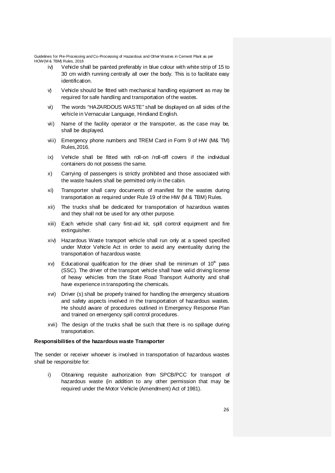- iv) Vehicle shall be painted preferably in blue colour with white strip of 15 to 30 cm width running centrally all over the body. This is to facilitate easy identification.
- $\forall$  Vehicle should be fitted with mechanical handling equipment as may be required for safe handling and transportation of the wastes.
- vi) The words "HAZARDOUS WASTE" shall be displayed on all sides of the vehicle in Vernacular Language, Hindiand English.
- vii) Name of the facility operator or the transporter, as the case may be, shall be displayed.
- viii) Emergency phone numbers and TREM Card in Form 9 of HW (M& TM) Rules,2016.
- ix) Vehicle shall be fitted with roll-on /roll-off covers if the individual containers do not possess the same.
- x) Carrying of passengers is strictly prohibited and those associated with the waste haulers shall be permitted only in the cabin.
- xi) Transporter shall carry documents of manifest for the wastes during transportation as required under Rule 19 of the HW (M & TBM) Rules.
- xii) The trucks shall be dedicated for transportation of hazardous wastes and they shall not be used for any other purpose.
- xiii) Each vehicle shall carry first-aid kit, spill control equipment and fire extinguisher.
- xiv) Hazardous Waste transport vehicle shall run only at a speed specified under Motor Vehicle Act in order to avoid any eventuality during the transportation of hazardous waste.
- $xv$ ) Educational qualification for the driver shall be minimum of  $10<sup>th</sup>$  pass (SSC). The driver of the transport vehicle shall have valid driving license of heavy vehicles from the State Road Transport Authority and shall have experience in transporting the chemicals.
- xvi) Driver (s) shall be properly trained for handling the emergency situations and safety aspects involved in the transportation of hazardous wastes. He should aware of procedures outlined in Emergency Response Plan and trained on emergency spill control procedures.
- xvii) The design of the trucks shall be such that there is no spillage during transportation.

#### **Responsibilities of the hazardous waste Transporter**

The sender or receiver whoever is involved in transportation of hazardous wastes shall be responsible for:

i) Obtaining requisite authorization from SPCB/PCC for transport of hazardous waste (in addition to any other permission that may be required under the Motor Vehicle (Amendment) Act of 1981).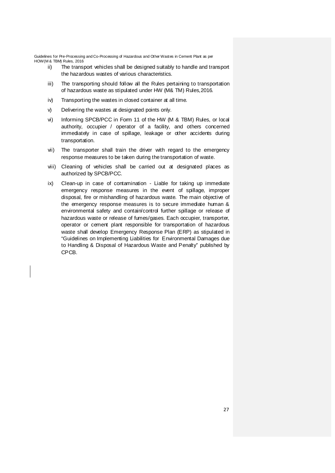- ii) The transport vehicles shall be designed suitably to handle and transport the hazardous wastes of various characteristics.
- iii) The transporting should follow all the Rules pertaining to transportation of hazardous waste as stipulated under HW (M& TM) Rules,2016.
- iv) Transporting the wastes in closed container at all time.
- v) Delivering the wastes at designated points only.
- vi) Informing SPCB/PCC in Form 11 of the HW (M & TBM) Rules, or local authority, occupier / operator of a facility, and others concerned immediately in case of spillage, leakage or other accidents during transportation.
- vii) The transporter shall train the driver with regard to the emergency response measures to be taken during the transportation of waste.
- viii) Cleaning of vehicles shall be carried out at designated places as authorized by SPCB/PCC.
- ix) Clean-up in case of contamination Liable for taking up immediate emergency response measures in the event of spillage, improper disposal, fire or mishandling of hazardous waste. The main objective of the emergency response measures is to secure immediate human & environmental safety and contain/control further spillage or release of hazardous waste or release of fumes/gases. Each occupier, transporter, operator or cement plant responsible for transportation of hazardous waste shall develop Emergency Response Plan (ERP) as stipulated in "Guidelines on Implementing Liabilities for Environmental Damages due to Handling & Disposal of Hazardous Waste and Penalty" published by CPCB.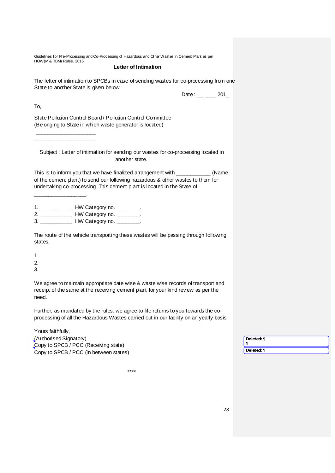#### **Letter of Intimation**

The letter of intimation to SPCBs in case of sending wastes for co-processing from one State to another State is given below:

| Date | 201 |
|------|-----|
|------|-----|

To,

State Pollution Control Board / Pollution Control Committee (Belonging to State in which waste generator is located)

Subject : Letter of intimation for sending our wastes for co-processing located in another state.

This is to inform you that we have finalized arrangement with \_\_\_\_\_\_\_\_\_\_\_\_ (Name of the cement plant) to send our following hazardous & other wastes to them for undertaking co-processing. This cement plant is located in the State of

\_\_\_\_\_\_\_\_\_\_\_\_\_\_\_\_\_\_.

 $\overline{\phantom{a}}$  , where the contract of the contract of the contract of the contract of the contract of the contract of the contract of the contract of the contract of the contract of the contract of the contract of the contr \_\_\_\_\_\_\_\_\_\_\_\_\_\_\_\_\_\_\_\_\_

|   | HW Category no. |
|---|-----------------|
|   | HW Category no. |
| 3 | HW Category no. |

The route of the vehicle transporting these wastes will be passing through following states.

- 1.
- 2.
- 3.

We agree to maintain appropriate date wise & waste wise records of transport and receipt of the same at the receiving cement plant for your kind review as per the need.

Further, as mandated by the rules, we agree to file returns to you towards the coprocessing of all the Hazardous Wastes carried out in our facility on an yearly basis.

| Yours faithfully,                      |            |
|----------------------------------------|------------|
| (Authorised Signatory)                 | Deleted: ¶ |
| Copy to SPCB / PCC (Receiving state)   |            |
| Copy to SPCB / PCC (in between states) | Deleted: ¶ |
|                                        |            |

\*\*\*\*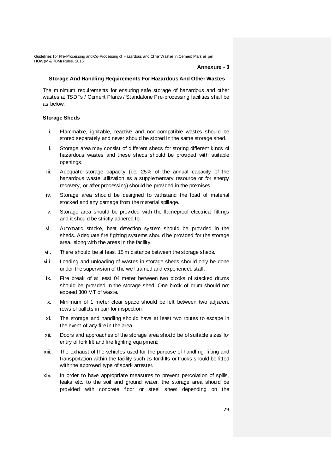#### **Annexure - 3**

#### **Storage And Handling Requirements For Hazardous And Other Wastes**

The minimum requirements for ensuring safe storage of hazardous and other wastes at TSDFs / Cement Plants / Standalone Pre-processing facilities shall be as below.

#### **Storage Sheds**

- i. Flammable, ignitable, reactive and non-compatible wastes should be stored separately and never should be stored in the same storage shed.
- ii. Storage area may consist of different sheds for storing different kinds of hazardous wastes and these sheds should be provided with suitable openings.
- iii. Adequate storage capacity (i.e. 25% of the annual capacity of the hazardous waste utilization as a supplementary resource or for energy recovery, or after processing) should be provided in the premises.
- iv. Storage area should be designed to withstand the load of material stocked and any damage from the material spillage.
- v. Storage area should be provided with the flameproof electrical fittings and it should be strictly adhered to.
- vi. Automatic smoke, heat detection system should be provided in the sheds. Adequate fire fighting systems should be provided for the storage area, along with the areas in the facility.
- vii. There should be at least 15 m distance between the storage sheds.
- viii. Loading and unloading of wastes in storage sheds should only be done under the supervision of the well trained and experienced staff.
- ix. Fire break of at least 04 meter between two blocks of stacked drums should be provided in the storage shed. One block of drum should not exceed 300 MT of waste.
- x. Minimum of 1 meter clear space should be left between two adjacent rows of pallets in pair for inspection.
- xi. The storage and handling should have at least two routes to escape in the event of any fire in the area.
- xii. Doors and approaches of the storage area should be of suitable sizes for entry of fork lift and fire fighting equipment;
- xiii. The exhaust of the vehicles used for the purpose of handling, lifting and transportation within the facility such as forklifts or trucks should be fitted with the approved type of spark arrester.
- xiv. In order to have appropriate measures to prevent percolation of spills, leaks etc. to the soil and ground water, the storage area should be provided with concrete floor or steel sheet depending on the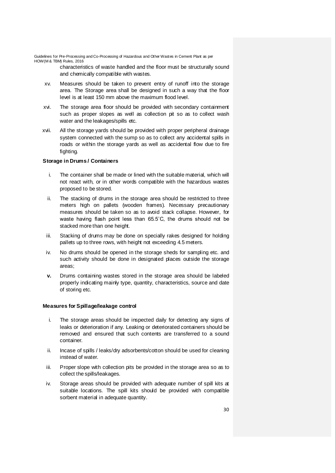characteristics of waste handled and the floor must be structurally sound and chemically compatible with wastes.

- xv. Measures should be taken to prevent entry of runoff into the storage area. The Storage area shall be designed in such a way that the floor level is at least 150 mm above the maximum flood level.
- xvi. The storage area floor should be provided with secondary containment such as proper slopes as well as collection pit so as to collect wash water and the leakages/spills etc.
- xvii. All the storage yards should be provided with proper peripheral drainage system connected with the sump so as to collect any accidental spills in roads or within the storage yards as well as accidental flow due to fire fighting.

# **Storage in Drums / Containers**

- i. The container shall be made or lined with the suitable material, which will not react with, or in other words compatible with the hazardous wastes proposed to be stored.
- ii. The stacking of drums in the storage area should be restricted to three meters high on pallets (wooden frames). Necessary precautionary measures should be taken so as to avoid stack collapse. However, for waste having flash point less than 65.5˚C, the drums should not be stacked more than one height.
- iii. Stacking of drums may be done on specially rakes designed for holding pallets up to three rows, with height not exceeding 4.5 meters.
- iv. No drums should be opened in the storage sheds for sampling etc. and such activity should be done in designated places outside the storage areas;
- **v.** Drums containing wastes stored in the storage area should be labeled properly indicating mainly type, quantity, characteristics, source and date of storing etc.

#### **Measures for Spillage/leakage control**

- i. The storage areas should be inspected daily for detecting any signs of leaks or deterioration if any. Leaking or deteriorated containers should be removed and ensured that such contents are transferred to a sound container.
- ii. Incase of spills / leaks/dry adsorbents/cotton should be used for cleaning instead of water.
- iii. Proper slope with collection pits be provided in the storage area so as to collect the spills/leakages.
- iv. Storage areas should be provided with adequate number of spill kits at suitable locations. The spill kits should be provided with compatible sorbent material in adequate quantity.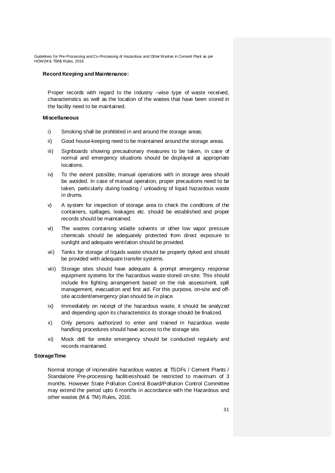#### **Record Keeping and Maintenance:**

Proper records with regard to the industry –wise type of waste received, characteristics as well as the location of the wastes that have been stored in the facility need to be maintained.

#### **Miscellaneous**

- i) Smoking shall be prohibited in and around the storage areas;
- ii) Good house-keeping need to be maintained around the storage areas.
- iii) Signboards showing precautionary measures to be taken, in case of normal and emergency situations should be displayed at appropriate locations.
- iv) To the extent possible, manual operations with in storage area should be avoided. In case of manual operation, proper precautions need to be taken, particularly during loading / unloading of liquid hazardous waste in drums.
- v) A system for inspection of storage area to check the conditions of the containers, spillages, leakages etc. should be established and proper records should be maintained.
- vi) The wastes containing volatile solvents or other low vapor pressure chemicals should be adequately protected from direct exposure to sunlight and adequate ventilation should be provided.
- vii) Tanks for storage of liquids waste should be properly dyked and should be provided with adequate transfer systems.
- viii) Storage sites should have adequate & prompt emergency response equipment systems for the hazardous waste stored on-site. This should include fire fighting arrangement based on the risk assessment, spill management, evacuation and first aid. For this purpose, on-site and offsite accident/emergency plan should be in place.
- ix) Immediately on receipt of the hazardous waste, it should be analyzed and depending upon its characteristics its storage should be finalized.
- x) Only persons authorized to enter and trained in hazardous waste handling procedures should have access to the storage site.
- xi) Mock drill for onsite emergency should be conducted regularly and records maintained.

#### **StorageTime**

Normal storage of incinerable hazardous wastes at TSDFs / Cement Plants / Standalone Pre-processing facilitiesshould be restricted to maximum of 3 months. However State Pollution Control Board/Pollution Control Committee may extend the period upto 6 months in accordance with the Hazardous and other wastes (M & TM) Rules, 2016.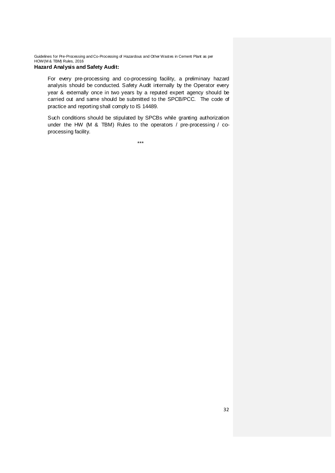# **Hazard Analysis and Safety Audit:**

For every pre-processing and co-processing facility, a preliminary hazard analysis should be conducted. Safety Audit internally by the Operator every year & externally once in two years by a reputed expert agency should be carried out and same should be submitted to the SPCB/PCC. The code of practice and reporting shall comply to IS 14489.

Such conditions should be stipulated by SPCBs while granting authorization under the HW (M & TBM) Rules to the operators / pre-processing / coprocessing facility.

\*\*\*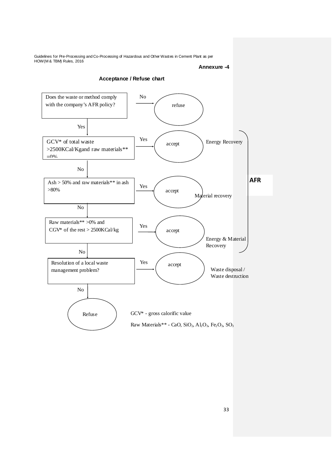**Annexure -4**



33